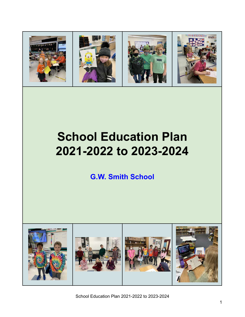

# **School Education Plan 2021-2022 to 2023-2024**

**G.W. Smith School**



School Education Plan 2021-2022 to 2023-2024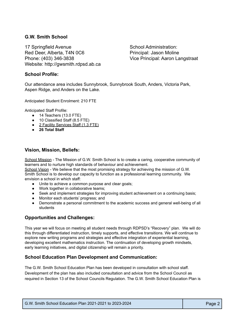## **G.W. Smith School**

17 Springfield Avenue Red Deer, Alberta, T4N 0C6 Phone: (403) 346-3838 Website: http://gwsmith.rdpsd.ab.ca School Administration: Principal: Jason Moline Vice Principal: Aaron Langstraat

## **School Profile:**

Our attendance area includes Sunnybrook, Sunnybrook South, Anders, Victoria Park, Aspen Ridge, and Anders on the Lake.

Anticipated Student Enrolment: 210 FTE

Anticipated Staff Profile:

- 14 Teachers (13.0 FTE)
- 10 Classified Staff (8.5 FTE)
- 2 Facility Services Staff (1.3 FTE)
- **26 Total Staff**

#### **Vision, Mission, Beliefs:**

School Mission - The Mission of G.W. Smith School is to create a caring, cooperative community of learners and to nurture high standards of behaviour and achievement.

School Vision - We believe that the most promising strategy for achieving the mission of G.W. Smith School is to develop our capacity to function as a professional learning community. We envision a school in which staff:

- Unite to achieve a common purpose and clear goals;
- Work together in collaborative teams;
- Seek and implement strategies for improving student achievement on a continuing basis;
- Monitor each students' progress; and
- Demonstrate a personal commitment to the academic success and general well-being of all students

## **Opportunities and Challenges:**

This year we will focus on meeting all student needs through RDPSD's "Recovery" plan. We will do this through differentiated instruction, timely supports, and effective transitions. We will continue to explore new writing programs and strategies and effective integration of experiential learning, developing excellent mathematics instruction. The continuation of developing growth mindsets, early learning initiatives, and digital citizenship will remain a priority.

## **School Education Plan Development and Communication:**

The G.W. Smith School Education Plan has been developed in consultation with school staff. Development of the plan has also included consultation and advice from the School Council as required in Section 13 of the School Councils Regulation. The G.W. Smith School Education Plan is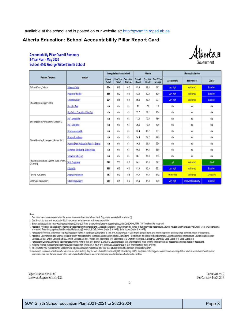available at the school and is posted on our website at: <http://gwsmith.rdpsd.ab.ca>

# **Alberta Education: School Accountability Pillar Report Card:**

#### **Accountability Pillar Overall Summary** 3-Year Plan - May 2020 **School: 4442 George Wilbert Smith School**



| <b>Measure Category</b>                                         | <b>Measure</b>                                 | <b>George Wilbert Smith School</b> |                                   |                        | Alberta                         |                                   |                        | <b>Measure Evaluation</b> |                               |                  |
|-----------------------------------------------------------------|------------------------------------------------|------------------------------------|-----------------------------------|------------------------|---------------------------------|-----------------------------------|------------------------|---------------------------|-------------------------------|------------------|
|                                                                 |                                                | <b>Current</b><br><b>Result</b>    | <b>Prev Year</b><br><b>Result</b> | Prev 3 Year<br>Average | <b>Current</b><br><b>Result</b> | <b>Prev Year</b><br><b>Result</b> | Prev 3 Year<br>Average | <b>Achievement</b>        | Improvement                   | Overall          |
| Safe and Caring Schools                                         | <b>Safe and Caring</b>                         | 95.4                               | 94.2                              | 96.0                   | 89.4                            | 89.0                              | 89.2                   | Very High                 | <b>Maintained</b>             | <b>Excellent</b> |
| Student Learning Opportunities                                  | <b>Program of Studies</b>                      | 85.5                               | 92.2                              | 92.1                   | 82.4                            | 82.2                              | 82.0                   | Very High                 | Maintained                    | <b>Excellent</b> |
|                                                                 | <b>Education Quality</b>                       | 96.1                               | 94.8                              | 96.1                   | 90.3                            | 90.2                              | 90.1                   | Very High                 | Maintained                    | <b>Excellent</b> |
|                                                                 | <b>Drop Out Rate</b>                           | n/a                                | n/a                               | n/a                    | 2.7                             | 2.6                               | 2.7                    | n/a                       | n/a                           | n/a              |
|                                                                 | High School Completion Rate (3 yr)             | n/a                                | n/a                               | n/a                    | 79.7                            | 79.1                              | 78.4                   | n/a                       | n/a                           | n/a              |
| Student Learning Achievement (Grades K-9)                       | <b>PAT: Acceptable</b>                         | n/a                                | n/a                               | n/a                    | 73.8                            | 73.6                              | 73.6                   | n/a                       | n/a                           | n/a              |
|                                                                 | <b>PAT: Excellence</b>                         | n/a                                | n/a                               | n/a                    | 20.6                            | 19.9                              | 19.6                   | n/a                       | n/a                           | n/a              |
| Student Learning Achievement (Grades 10-12)                     | Diploma: Acceptable                            | n/a                                | n/a                               | n/a                    | 83.6                            | 83.7                              | 83.1                   | n/a                       | n/a                           | n/a              |
|                                                                 | <b>Diploma: Excellence</b>                     | n/a                                | n/a                               | n/a                    | 24.0                            | 24.2                              | 22.5                   | n/a                       | n/a                           | n/a              |
|                                                                 | Diploma Exam Participation Rate (4+ Exams)     | n/a                                | n/a                               | n/a                    | 56.4                            | 56.3                              | 55.6                   | n/a                       | n/a                           | n/a              |
|                                                                 | <b>Rutherford Scholarship Eligibility Rate</b> | n/a                                | n/a                               | n/a                    | 66.6                            | 64.8                              | 63.5                   | n/a                       | n/a                           | n/a              |
| Preparation for Lifelong Learning, World of Work<br>Citizenship | <b>Transition Rate (6 yr)</b>                  | n/a                                | n/a                               | n/a                    | 60.1                            | 59.0                              | 58.5                   | n/a                       | n/a                           | n/a              |
|                                                                 | <b>Work Preparation</b>                        | 81.3                               | 77.3                              | 81.6                   | 84.1                            | 83.0                              | 82.7                   | High                      | Maintained                    | Good             |
|                                                                 | Citizenship                                    | 92.9                               | 93.6                              | 95.1                   | 83.3                            | 82.9                              | 83.2                   | Very High                 | Maintained                    | Excellent        |
| Parental Involvement                                            | <b>Parental Involvement</b>                    | 74.7                               | 80.9                              | 82.3                   | 81.8                            | 81.3                              | 81.2                   | Intermediate              | Maintained                    | Acceptable       |
| Continuous Improvement                                          | <b>School Improvement</b>                      | 93.4                               | 91.1                              | 85.5                   | 81.5                            | 81.0                              | 80.9                   | Very High                 | <b>Improved Significantly</b> | <b>Excellent</b> |

Notes:

1. Data values have been suppressed where the number of respondents/students is fewer than 6. Suppression is marked with an asterisk (\*).

2. Overall evaluations can only be calculated if both improvement and achievement evaluations are available.

3. Student participation in the survey was impacted between 2014 and 2017 due to the number of students responding through the OurSCHOOL/TTFM (Tell Them From Me) survey tool.

4. Aggregated PAT results are based upon a weighted average of percent meeting standards (Acceptable, Excellence). The weights are the number of students enrolled in each courses included: English Language Arts (Grades 6,

5. Participation in Provincial Achievement Tests was impacted by the fires in May to June 2016 and May to June 2019. Caution should be used when interpreting trends over time for the province and those school authorities a

6. Aggregated Diploma results are a weighted average of percent meeting standards (Acceptable, Excellence) on Diploma Examinations. The weights are the number of students writing the Diploma Examination for each course. Co

Language Arts 30-1, English Language Arts 30-2, French Language Arts 30-1, Français 30-1, Mathematics 30-1, Mathematics 30-2, Chemistry 30, Physics 30, Biology 30, Science 30, Social Studies 30-1, Social Studies 30-2, Chem

7. Participation in Diploma Examinations was impacted by the fires in May to June 2016 and May to June 2019. Caution should be used when interpreting trends over time for the province and those school authorities affected

8. Weighting of school-awarded marks in diploma courses increased from 50% to 70% in the 2015/16 school year. Caution should be used when interpreting trends over time.

9. 2016 results for the 3-year High School Completion and Diploma Examination Participation Rates have been adjusted to reflect the correction of the Grade 10 cohort.

10. Improvement evaluations are not calculated for school and school authority Drop Out and Rutherford Scholarship Eligibility rates. Starting in 2019, an updated methodology was applied to more accurately attribute result programming from more than one provider within a school year. Caution should be used when interpreting school and school authority results over time.

ReportGenerated:Apr25,2020 LockedwithSuppressionforMay2020

ReportVersion1.0 DataCurrentasofMar29,2020

 $\overline{2}$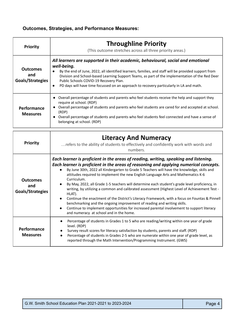# **Outcomes, Strategies, and Performance Measures:**

| <b>Priority</b>                            | <b>Throughline Priority</b><br>(This outcome stretches across all three priority areas.)                                                                                                                                                                                                                                                                                                                                                                    |  |  |  |
|--------------------------------------------|-------------------------------------------------------------------------------------------------------------------------------------------------------------------------------------------------------------------------------------------------------------------------------------------------------------------------------------------------------------------------------------------------------------------------------------------------------------|--|--|--|
| <b>Outcomes</b><br>and<br>Goals/Strategies | All learners are supported in their academic, behavioural, social and emotional<br>well-being.<br>By the end of June, 2022, all identified learners, families, and staff will be provided support from<br>Division and School-based Learning Support Teams, as part of the implementation of the Red Deer<br>Public Schools COVID-19 Recovery Plan.<br>PD days will have time focussed on an approach to recovery particularly in LA and math.<br>$\bullet$ |  |  |  |
| Performance<br><b>Measures</b>             | Overall percentage of students and parents who feel students receive the help and support they<br>require at school. (RDP)<br>Overall percentage of students and parents who feel students are cared for and accepted at school.<br>(RDP)<br>Overall percentage of students and parents who feel students feel connected and have a sense of<br>belonging at school. (RDP)                                                                                  |  |  |  |

| <b>Priority</b>                            | <b>Literacy And Numeracy</b><br>refers to the ability of students to effectively and confidently work with words and<br>numbers.                                                                                                                                                                                                                                                                                                                                                                                                                                                                                                                                                                                                                                                                                                                                                                                                 |
|--------------------------------------------|----------------------------------------------------------------------------------------------------------------------------------------------------------------------------------------------------------------------------------------------------------------------------------------------------------------------------------------------------------------------------------------------------------------------------------------------------------------------------------------------------------------------------------------------------------------------------------------------------------------------------------------------------------------------------------------------------------------------------------------------------------------------------------------------------------------------------------------------------------------------------------------------------------------------------------|
| <b>Outcomes</b><br>and<br>Goals/Strategies | Each learner is proficient in the areas of reading, writing, speaking and listening.<br>Each learner is proficient in the areas of reasoning and applying numerical concepts.<br>By June 30th, 2022 all Kindergarten to Grade 5 Teachers will have the knowledge, skills and<br>attitudes required to implement the new English Language Arts and Mathematics K-6<br>Curriculum.<br>By May, 2022, all Grade 1-5 teachers will determine each student's grade level proficiency, in<br>writing, by utilizing a common and calibrated assessment (Highest Level of Achievement Test -<br>HLAT).<br>Continue the enactment of the District's Literacy Framework, with a focus on Fountas & Pinnell<br>benchmarking and the ongoing improvement of reading and writing skills.<br>Continue to implement opportunities for increased parental involvement to support literacy<br>$\bullet$<br>and numeracy at school and in the home. |
| Performance<br><b>Measures</b>             | Percentage of students in Grades 1 to 5 who are reading/writing within one year of grade<br>$\bullet$<br>level. (RDP)<br>Survey result scores for literacy satisfaction by students, parents and staff. (RDP)<br>$\bullet$<br>Percentage of students in Grades 2-5 who are numerate within one year of grade level, as<br>$\bullet$<br>reported through the Math Intervention/Programming Instrument. (GWS)                                                                                                                                                                                                                                                                                                                                                                                                                                                                                                                      |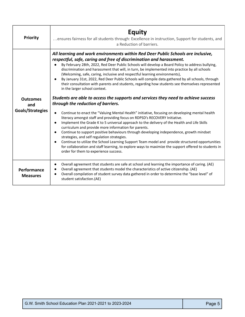| <b>Priority</b>                            | Equity<br>ensures fairness for all students through: Excellence in instruction, Support for students, and<br>a Reduction of barriers.                                                                                                                                                                                                                                                                                                                                                                                                                                                                                                                                                                                                                                                                                                                                                                                                                                                                                                                                                                                                                                                                                                                                                                                                                                                                                                                                                                                                                |
|--------------------------------------------|------------------------------------------------------------------------------------------------------------------------------------------------------------------------------------------------------------------------------------------------------------------------------------------------------------------------------------------------------------------------------------------------------------------------------------------------------------------------------------------------------------------------------------------------------------------------------------------------------------------------------------------------------------------------------------------------------------------------------------------------------------------------------------------------------------------------------------------------------------------------------------------------------------------------------------------------------------------------------------------------------------------------------------------------------------------------------------------------------------------------------------------------------------------------------------------------------------------------------------------------------------------------------------------------------------------------------------------------------------------------------------------------------------------------------------------------------------------------------------------------------------------------------------------------------|
| <b>Outcomes</b><br>and<br>Goals/Strategies | All learning and work environments within Red Deer Public Schools are inclusive,<br>respectful, safe, caring and free of discrimination and harassment.<br>By February 28th, 2022, Red Deer Public Schools will develop a Board Policy to address bullying,<br>discrimination and harassment that will, in turn, be implemented into practice by all schools<br>(Welcoming, safe, caring, inclusive and respectful learning environments),<br>By January 31st, 2022, Red Deer Public Schools will compile data gathered by all schools, through<br>their consultation with parents and students, regarding how students see themselves represented<br>in the larger school context.<br>Students are able to access the supports and services they need to achieve success<br>through the reduction of barriers.<br>Continue to enact the "Valuing Mental Health" initiative, focusing on developing mental health<br>literacy amongst staff and providing focus on RDPSD's RECOVERY Initiative.<br>Implement the Grade K to 5 universal approach to the delivery of the Health and Life Skills<br>curriculum and provide more information for parents.<br>Continue to support positive behaviours through developing independence, growth mindset<br>strategies, and self regulation strategies.<br>Continue to utilize the School Learning Support Team model and provide structured opportunities<br>for collaboration and staff learning, to explore ways to maximize the support offered to students in<br>order for them to experience success. |
| Performance<br><b>Measures</b>             | Overall agreement that students are safe at school and learning the importance of caring. (AE)<br>Overall agreement that students model the characteristics of active citizenship. (AE)<br>Overall compilation of student survey data gathered in order to determine the "base level" of<br>student satisfaction.(AE)                                                                                                                                                                                                                                                                                                                                                                                                                                                                                                                                                                                                                                                                                                                                                                                                                                                                                                                                                                                                                                                                                                                                                                                                                                |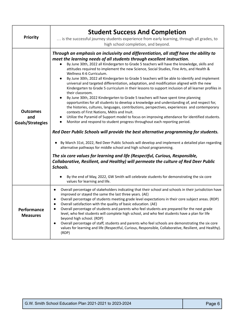| <b>Priority</b>                            | <b>Student Success And Completion</b><br>is the successful journey students experience from early learning, through all grades, to<br>high school completion, and beyond.                                                                                                                                                                                                                                                                                                                                                                                                                                                                                                                                                                                                                                                                                                                                                                                                                                                                                                                                                                                                                                                                                                                                                                                                                                                                                                                                                                                                                                                                                                                                                                                                                                                            |
|--------------------------------------------|--------------------------------------------------------------------------------------------------------------------------------------------------------------------------------------------------------------------------------------------------------------------------------------------------------------------------------------------------------------------------------------------------------------------------------------------------------------------------------------------------------------------------------------------------------------------------------------------------------------------------------------------------------------------------------------------------------------------------------------------------------------------------------------------------------------------------------------------------------------------------------------------------------------------------------------------------------------------------------------------------------------------------------------------------------------------------------------------------------------------------------------------------------------------------------------------------------------------------------------------------------------------------------------------------------------------------------------------------------------------------------------------------------------------------------------------------------------------------------------------------------------------------------------------------------------------------------------------------------------------------------------------------------------------------------------------------------------------------------------------------------------------------------------------------------------------------------------|
| <b>Outcomes</b><br>and<br>Goals/Strategies | Through an emphasis on inclusivity and differentiation, all staff have the ability to<br>meet the learning needs of all students through excellent instruction.<br>By June 30th, 2022 all Kindergarten to Grade 5 teachers will have the knowledge, skills and<br>attitudes required to implement the new Science, Social Studies, Fine Arts, and Health &<br>Wellness K-6 Curriculum.<br>By June 30th, 2022 all Kindergarten to Grade 5 teachers will be able to identify and implement<br>universal and targeted differentiation, adaptation, and modification aligned with the new<br>Kindergarten to Grade 5 curriculum in their lessons to support inclusion of all learner profiles in<br>their classroom.<br>By June 30th, 2022 Kindergarten to Grade 5 teachers will have spent time planning<br>opportunities for all students to develop a knowledge and understanding of, and respect for,<br>the histories, cultures, languages, contributions, perspectives, experiences and contemporary<br>contexts of First Nations, Métis and Inuit.<br>Utilize the Pyramid of Support model to focus on improving attendance for identified students.<br>Monitor and respond to student progress throughout each reporting period.<br>Red Deer Public Schools will provide the best alternative programming for students.<br>By March 31st, 2022, Red Deer Public Schools will develop and implement a detailed plan regarding<br>$\bullet$<br>alternative pathways for middle school and high school programming.<br>The six core values for learning and life (Respectful, Curious, Responsible,<br>Collaborative, Resilient, and Healthy) will permeate the culture of Red Deer Public<br>Schools.<br>By the end of May, 2022, GW Smith will celebrate students for demonstrating the six core<br>values for learning and life. |
| Performance<br><b>Measures</b>             | Overall percentage of stakeholders indicating that their school and schools in their jurisdiction have<br>improved or stayed the same the last three years. (AE)<br>Overall percentage of students meeting grade level expectations in their core subject areas. (RDP)<br>Overall satisfaction with the quality of basic education. (AE)<br>Overall percentage of students and parents who feel students are prepared for the next grade<br>level, who feel students will complete high school, and who feel students have a plan for life<br>beyond high school. (RDP)<br>Overall percentage of staff, students and parents who feel schools are demonstrating the six core<br>values for learning and life (Respectful, Curious, Responsible, Collaborative, Resilient, and Healthy).<br>(RDP)                                                                                                                                                                                                                                                                                                                                                                                                                                                                                                                                                                                                                                                                                                                                                                                                                                                                                                                                                                                                                                     |